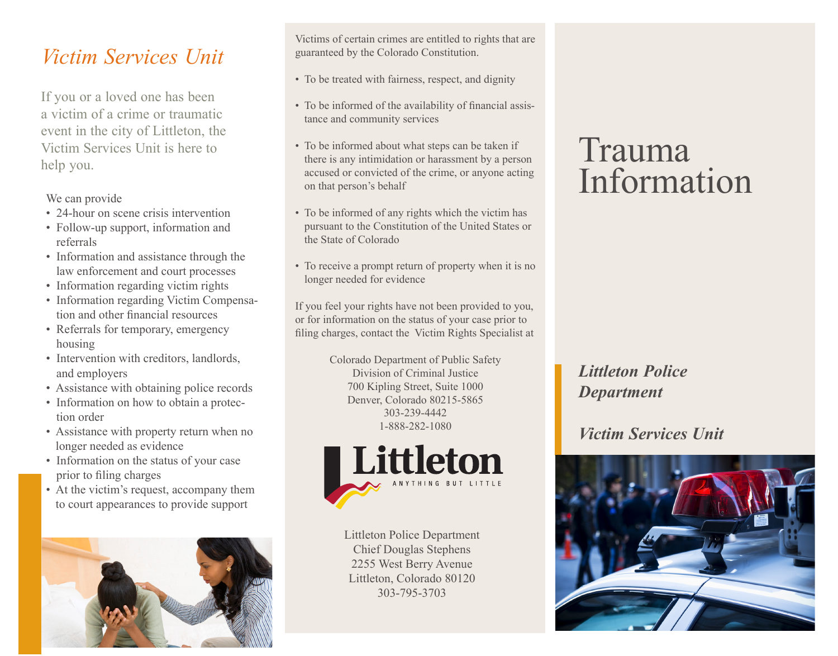## *Victim Services Unit*

If you or a loved one has been a victim of a crime or traumatic event in the city of Littleton, the Victim Services Unit is here to help you.

We can provide

- 24-hour on scene crisis intervention
- Follow-up support, information and referrals
- Information and assistance through the law enforcement and court processes
- Information regarding victim rights
- Information regarding Victim Compensation and other financial resources
- Referrals for temporary, emergency housing
- Intervention with creditors, landlords, and employers
- Assistance with obtaining police records
- Information on how to obtain a protection order
- Assistance with property return when no longer needed as evidence
- Information on the status of your case prior to filing charges
- At the victim's request, accompany them to court appearances to provide support



Victims of certain crimes are entitled to rights that are guaranteed by the Colorado Constitution.

- To be treated with fairness, respect, and dignity
- To be informed of the availability of financial assistance and community services
- To be informed about what steps can be taken if there is any intimidation or harassment by a person accused or convicted of the crime, or anyone acting on that person's behalf
- To be informed of any rights which the victim has pursuant to the Constitution of the United States or the State of Colorado
- To receive a prompt return of property when it is no longer needed for evidence

If you feel your rights have not been provided to you, or for information on the status of your case prior to filing charges, contact the Victim Rights Specialist at

> Colorado Department of Public Safety Division of Criminal Justice 700 Kipling Street, Suite 1000 Denver, Colorado 80215-5865 303-239-4442 1-888-282-1080



Littleton Police Department Chief Douglas Stephens 2255 West Berry Avenue Littleton, Colorado 80120 303-795-3703

# Trauma Information

### *Littleton Police Department*

### *Victim Services Unit*